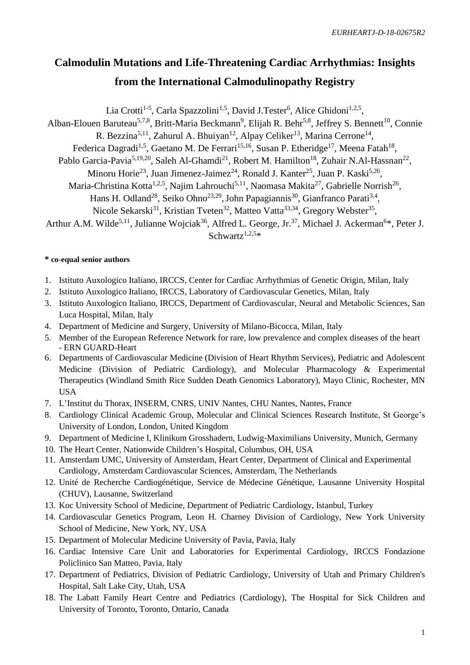# **Calmodulin Mutations and Life-Threatening Cardiac Arrhythmias: Insights from the International Calmodulinopathy Registry**

Lia Crotti<sup>1-5</sup>, Carla Spazzolini<sup>1,5</sup>, David J.Tester<sup>6</sup>, Alice Ghidoni<sup>1,2,5</sup>,

Alban-Elouen Baruteau<sup>5,7,8</sup>, Britt-Maria Beckmann<sup>9</sup>, Elijah R. Behr<sup>5,8</sup>, Jeffrey S. Bennett<sup>10</sup>, Connie

R. Bezzina<sup>5,11</sup>, Zahurul A. Bhuiyan<sup>12</sup>, Alpay Celiker<sup>13</sup>, Marina Cerrone<sup>14</sup>,

Federica Dagradi<sup>1,5</sup>, Gaetano M. De Ferrari<sup>15,16</sup>, Susan P. Etheridge<sup>17</sup>, Meena Fatah<sup>18</sup>,

Pablo Garcia-Pavia<sup>5,19,20</sup>, Saleh Al-Ghamdi<sup>21</sup>, Robert M. Hamilton<sup>18</sup>, Zuhair N.Al-Hassnan<sup>22</sup>,

Minoru Horie<sup>23</sup>, Juan Jimenez-Jaimez<sup>24</sup>, Ronald J. Kanter<sup>25</sup>, Juan P. Kaski<sup>5,26</sup>,

Maria-Christina Kotta<sup>1,2,5</sup>, Najim Lahrouchi<sup>5,11</sup>, Naomasa Makita<sup>27</sup>, Gabrielle Norrish<sup>26</sup>,

Hans H. Odland<sup>28</sup>, Seiko Ohno<sup>23,29</sup>, John Papagiannis<sup>30</sup>, Gianfranco Parati<sup>3,4</sup>,

Nicole Sekarski<sup>31</sup>, Kristian Tveten<sup>32</sup>, Matteo Vatta<sup>33,34</sup>, Gregory Webster<sup>35</sup>,

Arthur A.M. Wilde<sup>5,11</sup>, Julianne Wojciak<sup>36</sup>, Alfred L. George, Jr.<sup>37</sup>, Michael J. Ackerman<sup>6\*</sup>, Peter J. Schwartz $1,2,5*$ 

# **\* co-equal senior authors**

- 1. Istituto Auxologico Italiano, IRCCS, Center for Cardiac Arrhythmias of Genetic Origin, Milan, Italy
- 2. Istituto Auxologico Italiano, IRCCS, Laboratory of Cardiovascular Genetics, Milan, Italy
- 3. Istituto Auxologico Italiano, IRCCS, Department of Cardiovascular, Neural and Metabolic Sciences, San Luca Hospital, Milan, Italy
- 4. Department of Medicine and Surgery, University of Milano-Bicocca, Milan, Italy
- 5. Member of the European Reference Network for rare, low prevalence and complex diseases of the heart - ERN GUARD-Heart
- 6. Departments of Cardiovascular Medicine (Division of Heart Rhythm Services), Pediatric and Adolescent Medicine (Division of Pediatric Cardiology), and Molecular Pharmacology & Experimental Therapeutics (Windland Smith Rice Sudden Death Genomics Laboratory), Mayo Clinic, Rochester, MN USA
- 7. L'Institut du Thorax, INSERM, CNRS, UNIV Nantes, CHU Nantes, Nantes, France
- 8. Cardiology Clinical Academic Group, Molecular and Clinical Sciences Research Institute, St George's University of London, London, United Kingdom
- 9. Department of Medicine I, Klinikum Grosshadern, Ludwig-Maximilians University, Munich, Germany
- 10. The Heart Center, Nationwide Children's Hospital, Columbus, OH, USA
- 11. Amsterdam UMC, University of Amsterdam, Heart Center, Department of Clinical and Experimental Cardiology, Amsterdam Cardiovascular Sciences, Amsterdam, The Netherlands
- 12. Unité de Recherche Cardiogénétique, Service de Médecine Génétique, Lausanne University Hospital (CHUV), Lausanne, Switzerland
- 13. Koc University School of Medicine, Department of Pediatric Cardiology, Istanbul, Turkey
- 14. Cardiovascular Genetics Program, Leon H. Charney Division of Cardiology, New York University School of Medicine, New York, NY, USA
- 15. Department of Molecular Medicine University of Pavia, Pavia, Italy
- 16. Cardiac Intensive Care Unit and Laboratories for Experimental Cardiology, IRCCS Fondazione Policlinico San Matteo, Pavia, Italy
- 17. Department of Pediatrics, Division of Pediatric Cardiology, University of Utah and Primary Children's Hospital, Salt Lake City, Utah, USA
- 18. The Labatt Family Heart Centre and Pediatrics (Cardiology), The Hospital for Sick Children and University of Toronto, Toronto, Ontario, Canada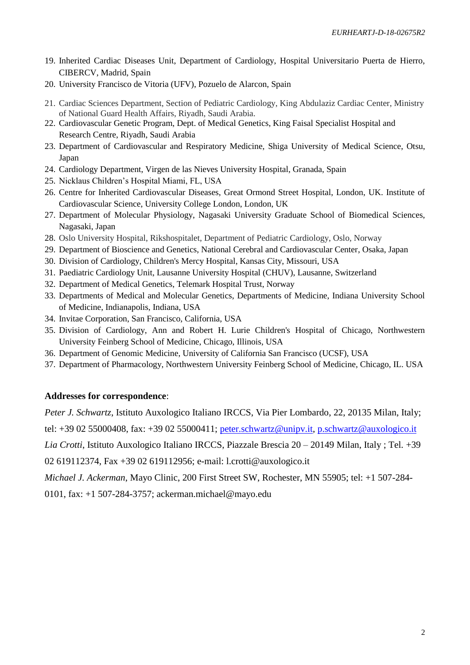- 19. Inherited Cardiac Diseases Unit, Department of Cardiology, Hospital Universitario Puerta de Hierro, CIBERCV, Madrid, Spain
- 20. University Francisco de Vitoria (UFV), Pozuelo de Alarcon, Spain
- 21. Cardiac Sciences Department, Section of Pediatric Cardiology, King Abdulaziz Cardiac Center, Ministry of National Guard Health Affairs, Riyadh, Saudi Arabia.
- 22. Cardiovascular Genetic Program, Dept. of Medical Genetics, King Faisal Specialist Hospital and Research Centre, Riyadh, Saudi Arabia
- 23. Department of Cardiovascular and Respiratory Medicine, Shiga University of Medical Science, Otsu, Japan
- 24. Cardiology Department, Virgen de las Nieves University Hospital, Granada, Spain
- 25. Nicklaus Children's Hospital Miami, FL, USA
- 26. Centre for Inherited Cardiovascular Diseases, Great Ormond Street Hospital, London, UK. Institute of Cardiovascular Science, University College London, London, UK
- 27. Department of Molecular Physiology, Nagasaki University Graduate School of Biomedical Sciences, Nagasaki, Japan
- 28. Oslo University Hospital, Rikshospitalet, Department of Pediatric Cardiology, Oslo, Norway
- 29. Department of Bioscience and Genetics, National Cerebral and Cardiovascular Center, Osaka, Japan
- 30. Division of Cardiology, Children's Mercy Hospital, Kansas City, Missouri, USA
- 31. Paediatric Cardiology Unit, Lausanne University Hospital (CHUV), Lausanne, Switzerland
- 32. Department of Medical Genetics, Telemark Hospital Trust, Norway
- 33. Departments of Medical and Molecular Genetics, Departments of Medicine, Indiana University School of Medicine, Indianapolis, Indiana, USA
- 34. Invitae Corporation, San Francisco, California, USA
- 35. Division of Cardiology, Ann and Robert H. Lurie Children's Hospital of Chicago, Northwestern University Feinberg School of Medicine, Chicago, Illinois, USA
- 36. Department of Genomic Medicine, University of California San Francisco (UCSF), USA
- 37. Department of Pharmacology, Northwestern University Feinberg School of Medicine, Chicago, IL. USA

# **Addresses for correspondence**:

*Peter J. Schwartz*, Istituto Auxologico Italiano IRCCS, Via Pier Lombardo, 22, 20135 Milan, Italy;

tel:  $+390255000408$ , fax:  $+390255000411$ ; [peter.schwartz@unipv.it,](mailto:peter.schwartz@unipv.it) [p.schwartz@auxologico.it](mailto:p.schwartz@auxologico.it)

*Lia Crotti*, Istituto Auxologico Italiano IRCCS, Piazzale Brescia 20 – 20149 Milan, Italy ; Tel. +39

02 619112374, Fax +39 02 619112956; e-mail: l.crotti@auxologico.it

*Michael J. Ackerman*, Mayo Clinic, 200 First Street SW, Rochester, MN 55905; tel: +1 507-284-

0101, fax: +1 507-284-3757; ackerman.michael@mayo.edu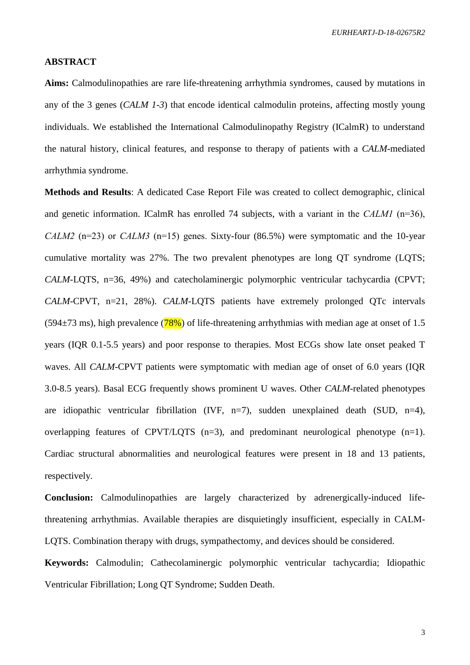#### **ABSTRACT**

**Aims:** Calmodulinopathies are rare life-threatening arrhythmia syndromes, caused by mutations in any of the 3 genes (*CALM 1-3*) that encode identical calmodulin proteins, affecting mostly young individuals. We established the International Calmodulinopathy Registry (ICalmR) to understand the natural history, clinical features, and response to therapy of patients with a *CALM*-mediated arrhythmia syndrome.

**Methods and Results**: A dedicated Case Report File was created to collect demographic, clinical and genetic information. ICalmR has enrolled 74 subjects, with a variant in the *CALM1* (n=36), *CALM2* (n=23) or *CALM3* (n=15) genes. Sixty-four (86.5%) were symptomatic and the 10-year cumulative mortality was 27%. The two prevalent phenotypes are long QT syndrome (LQTS; *CALM*-LQTS, n=36, 49%) and catecholaminergic polymorphic ventricular tachycardia (CPVT; *CALM*-CPVT, n=21, 28%). *CALM*-LQTS patients have extremely prolonged QTc intervals (594 $\pm$ 73 ms), high prevalence (78%) of life-threatening arrhythmias with median age at onset of 1.5 years (IQR 0.1-5.5 years) and poor response to therapies. Most ECGs show late onset peaked T waves. All *CALM*-CPVT patients were symptomatic with median age of onset of 6.0 years (IQR 3.0-8.5 years). Basal ECG frequently shows prominent U waves. Other *CALM*-related phenotypes are idiopathic ventricular fibrillation (IVF,  $n=7$ ), sudden unexplained death (SUD,  $n=4$ ), overlapping features of CPVT/LOTS  $(n=3)$ , and predominant neurological phenotype  $(n=1)$ . Cardiac structural abnormalities and neurological features were present in 18 and 13 patients, respectively.

**Conclusion:** Calmodulinopathies are largely characterized by adrenergically-induced lifethreatening arrhythmias. Available therapies are disquietingly insufficient, especially in CALM-LQTS. Combination therapy with drugs, sympathectomy, and devices should be considered.

**Keywords:** Calmodulin; Cathecolaminergic polymorphic ventricular tachycardia; Idiopathic Ventricular Fibrillation; Long QT Syndrome; Sudden Death.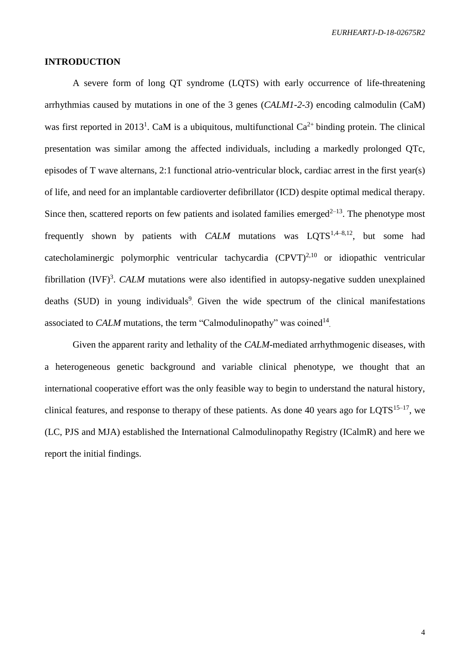## **INTRODUCTION**

A severe form of long QT syndrome (LQTS) with early occurrence of life-threatening arrhythmias caused by mutations in one of the 3 genes (*CALM1-2-3*) encoding calmodulin (CaM) was first reported in 2013<sup>1</sup>. CaM is a ubiquitous, multifunctional  $Ca^{2+}$  binding protein. The clinical presentation was similar among the affected individuals, including a markedly prolonged QTc, episodes of T wave alternans, 2:1 functional atrio-ventricular block, cardiac arrest in the first year(s) of life, and need for an implantable cardioverter defibrillator (ICD) despite optimal medical therapy. Since then, scattered reports on few patients and isolated families emerged $2^{-13}$ . The phenotype most frequently shown by patients with *CALM* mutations was LQTS1,4–8,12, but some had catecholaminergic polymorphic ventricular tachycardia  $(CPVT)^{2,10}$  or idiopathic ventricular fibrillation  $(IVF)^3$ . *CALM* mutations were also identified in autopsy-negative sudden unexplained deaths (SUD) in young individuals<sup>9</sup> Given the wide spectrum of the clinical manifestations associated to *CALM* mutations, the term "Calmodulinopathy" was coined<sup>14</sup>.

Given the apparent rarity and lethality of the *CALM*-mediated arrhythmogenic diseases, with a heterogeneous genetic background and variable clinical phenotype, we thought that an international cooperative effort was the only feasible way to begin to understand the natural history, clinical features, and response to therapy of these patients. As done 40 years ago for  $LQTS^{15-17}$ , we (LC, PJS and MJA) established the International Calmodulinopathy Registry (ICalmR) and here we report the initial findings.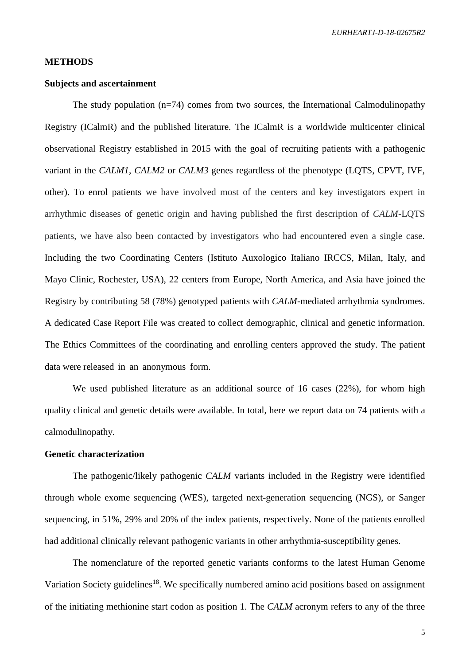#### **METHODS**

## **Subjects and ascertainment**

The study population (n=74) comes from two sources, the International Calmodulinopathy Registry (ICalmR) and the published literature. The ICalmR is a worldwide multicenter clinical observational Registry established in 2015 with the goal of recruiting patients with a pathogenic variant in the *CALM1*, *CALM2* or *CALM3* genes regardless of the phenotype (LQTS, CPVT, IVF, other). To enrol patients we have involved most of the centers and key investigators expert in arrhythmic diseases of genetic origin and having published the first description of *CALM*-LQTS patients, we have also been contacted by investigators who had encountered even a single case. Including the two Coordinating Centers (Istituto Auxologico Italiano IRCCS, Milan, Italy, and Mayo Clinic, Rochester, USA), 22 centers from Europe, North America, and Asia have joined the Registry by contributing 58 (78%) genotyped patients with *CALM*-mediated arrhythmia syndromes. A dedicated Case Report File was created to collect demographic, clinical and genetic information. The Ethics Committees of the coordinating and enrolling centers approved the study. The patient data were released in an anonymous form.

We used published literature as an additional source of 16 cases (22%), for whom high quality clinical and genetic details were available. In total, here we report data on 74 patients with a calmodulinopathy.

## **Genetic characterization**

The pathogenic/likely pathogenic *CALM* variants included in the Registry were identified through whole exome sequencing (WES), targeted next-generation sequencing (NGS), or Sanger sequencing, in 51%, 29% and 20% of the index patients, respectively. None of the patients enrolled had additional clinically relevant pathogenic variants in other arrhythmia-susceptibility genes.

The nomenclature of the reported genetic variants conforms to the latest Human Genome Variation Society guidelines<sup>18</sup>. We specifically numbered amino acid positions based on assignment of the initiating methionine start codon as position 1. The *CALM* acronym refers to any of the three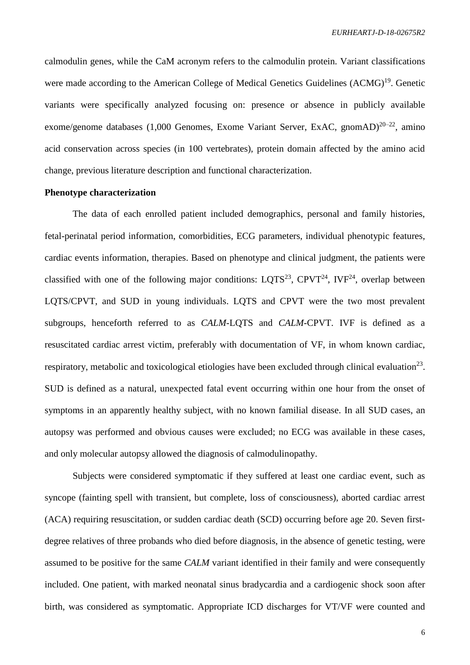calmodulin genes, while the CaM acronym refers to the calmodulin protein. Variant classifications were made according to the American College of Medical Genetics Guidelines (ACMG)<sup>19</sup>. Genetic variants were specifically analyzed focusing on: presence or absence in publicly available exome/genome databases  $(1,000$  Genomes, Exome Variant Server, ExAC, gnomAD $)^{20-22}$ , amino acid conservation across species (in 100 vertebrates), protein domain affected by the amino acid change, previous literature description and functional characterization.

#### **Phenotype characterization**

The data of each enrolled patient included demographics, personal and family histories, fetal-perinatal period information, comorbidities, ECG parameters, individual phenotypic features, cardiac events information, therapies. Based on phenotype and clinical judgment, the patients were classified with one of the following major conditions: LQTS<sup>23</sup>, CPVT<sup>24</sup>, IVF<sup>24</sup>, overlap between LQTS/CPVT, and SUD in young individuals. LQTS and CPVT were the two most prevalent subgroups, henceforth referred to as *CALM-*LQTS and *CALM*-CPVT. IVF is defined as a resuscitated cardiac arrest victim, preferably with documentation of VF, in whom known cardiac, respiratory, metabolic and toxicological etiologies have been excluded through clinical evaluation<sup>23</sup>. SUD is defined as a natural, unexpected fatal event occurring within one hour from the onset of symptoms in an apparently healthy subject, with no known familial disease. In all SUD cases, an autopsy was performed and obvious causes were excluded; no ECG was available in these cases, and only molecular autopsy allowed the diagnosis of calmodulinopathy.

Subjects were considered symptomatic if they suffered at least one cardiac event, such as syncope (fainting spell with transient, but complete, loss of consciousness), aborted cardiac arrest (ACA) requiring resuscitation, or sudden cardiac death (SCD) occurring before age 20. Seven firstdegree relatives of three probands who died before diagnosis, in the absence of genetic testing, were assumed to be positive for the same *CALM* variant identified in their family and were consequently included. One patient, with marked neonatal sinus bradycardia and a cardiogenic shock soon after birth, was considered as symptomatic. Appropriate ICD discharges for VT/VF were counted and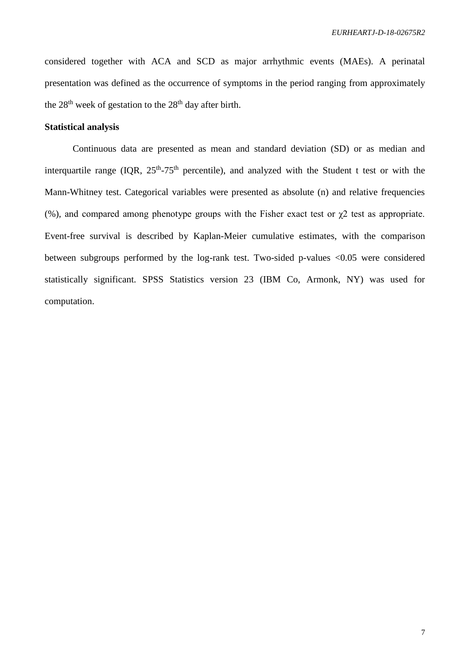considered together with ACA and SCD as major arrhythmic events (MAEs). A perinatal presentation was defined as the occurrence of symptoms in the period ranging from approximately the  $28<sup>th</sup>$  week of gestation to the  $28<sup>th</sup>$  day after birth.

# **Statistical analysis**

Continuous data are presented as mean and standard deviation (SD) or as median and interquartile range (IQR,  $25<sup>th</sup> - 75<sup>th</sup>$  percentile), and analyzed with the Student t test or with the Mann-Whitney test. Categorical variables were presented as absolute (n) and relative frequencies (%), and compared among phenotype groups with the Fisher exact test or  $\gamma$ 2 test as appropriate. Event-free survival is described by Kaplan-Meier cumulative estimates, with the comparison between subgroups performed by the log-rank test. Two-sided p-values <0.05 were considered statistically significant. SPSS Statistics version 23 (IBM Co, Armonk, NY) was used for computation.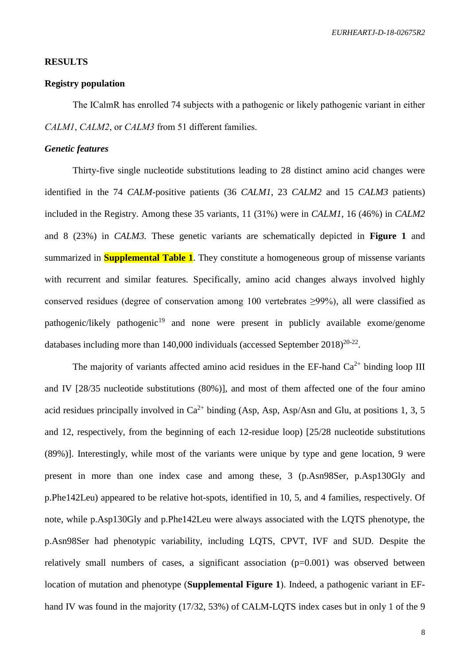#### **RESULTS**

# **Registry population**

The ICalmR has enrolled 74 subjects with a pathogenic or likely pathogenic variant in either *CALM1*, *CALM2*, or *CALM3* from 51 different families.

# *Genetic features*

Thirty-five single nucleotide substitutions leading to 28 distinct amino acid changes were identified in the 74 *CALM-*positive patients (36 *CALM1*, 23 *CALM2* and 15 *CALM3* patients) included in the Registry. Among these 35 variants, 11 (31%) were in *CALM1*, 16 (46%) in *CALM2* and 8 (23%) in *CALM3.* These genetic variants are schematically depicted in **Figure 1** and summarized in **Supplemental Table 1**. They constitute a homogeneous group of missense variants with recurrent and similar features. Specifically, amino acid changes always involved highly conserved residues (degree of conservation among 100 vertebrates ≥99%), all were classified as pathogenic/likely pathogenic<sup>19</sup> and none were present in publicly available exome/genome databases including more than  $140,000$  individuals (accessed September  $2018)^{20-22}$ .

The majority of variants affected amino acid residues in the EF-hand  $Ca^{2+}$  binding loop III and IV [28/35 nucleotide substitutions (80%)], and most of them affected one of the four amino acid residues principally involved in  $Ca^{2+}$  binding (Asp, Asp, Asp/Asn and Glu, at positions 1, 3, 5 and 12, respectively, from the beginning of each 12-residue loop) [25/28 nucleotide substitutions (89%)]. Interestingly, while most of the variants were unique by type and gene location, 9 were present in more than one index case and among these, 3 (p.Asn98Ser, p.Asp130Gly and p.Phe142Leu) appeared to be relative hot-spots, identified in 10, 5, and 4 families, respectively. Of note, while p.Asp130Gly and p.Phe142Leu were always associated with the LQTS phenotype, the p.Asn98Ser had phenotypic variability, including LQTS, CPVT, IVF and SUD. Despite the relatively small numbers of cases, a significant association (p=0.001) was observed between location of mutation and phenotype (**Supplemental Figure 1**). Indeed, a pathogenic variant in EFhand IV was found in the majority (17/32, 53%) of CALM-LQTS index cases but in only 1 of the 9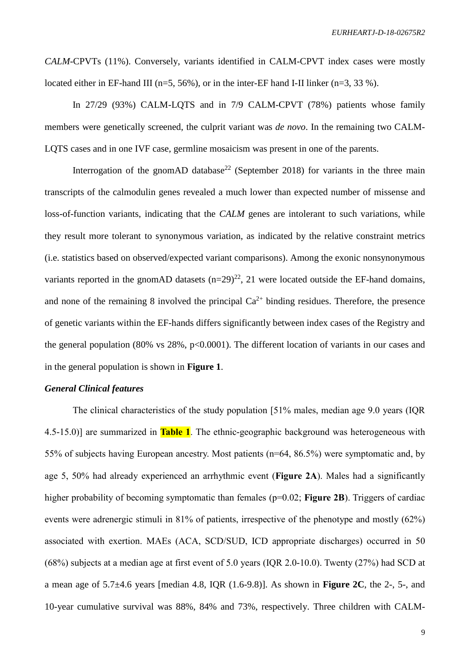*CALM*-CPVTs (11%). Conversely, variants identified in CALM-CPVT index cases were mostly located either in EF-hand III ( $n=5$ , 56%), or in the inter-EF hand I-II linker ( $n=3$ , 33 %).

In 27/29 (93%) CALM-LQTS and in 7/9 CALM-CPVT (78%) patients whose family members were genetically screened, the culprit variant was *de novo*. In the remaining two CALM-LQTS cases and in one IVF case, germline mosaicism was present in one of the parents.

Interrogation of the gnomAD database<sup>22</sup> (September 2018) for variants in the three main transcripts of the calmodulin genes revealed a much lower than expected number of missense and loss-of-function variants, indicating that the *CALM* genes are intolerant to such variations, while they result more tolerant to synonymous variation, as indicated by the relative constraint metrics (i.e. statistics based on observed/expected variant comparisons). Among the exonic nonsynonymous variants reported in the gnomAD datasets  $(n=29)^{22}$ , 21 were located outside the EF-hand domains, and none of the remaining 8 involved the principal  $Ca^{2+}$  binding residues. Therefore, the presence of genetic variants within the EF-hands differs significantly between index cases of the Registry and the general population (80% vs  $28\%$ , p<0.0001). The different location of variants in our cases and in the general population is shown in **Figure 1**.

# *General Clinical features*

The clinical characteristics of the study population [51% males, median age 9.0 years (IQR 4.5-15.0)] are summarized in **Table 1**. The ethnic-geographic background was heterogeneous with 55% of subjects having European ancestry. Most patients (n=64, 86.5%) were symptomatic and, by age 5, 50% had already experienced an arrhythmic event (**Figure 2A**). Males had a significantly higher probability of becoming symptomatic than females (p=0.02; **Figure 2B**). Triggers of cardiac events were adrenergic stimuli in 81% of patients, irrespective of the phenotype and mostly (62%) associated with exertion. MAEs (ACA, SCD/SUD, ICD appropriate discharges) occurred in 50 (68%) subjects at a median age at first event of 5.0 years (IQR 2.0-10.0). Twenty (27%) had SCD at a mean age of 5.7±4.6 years [median 4.8, IQR (1.6-9.8)]. As shown in **Figure 2C**, the 2-, 5-, and 10-year cumulative survival was 88%, 84% and 73%, respectively. Three children with CALM-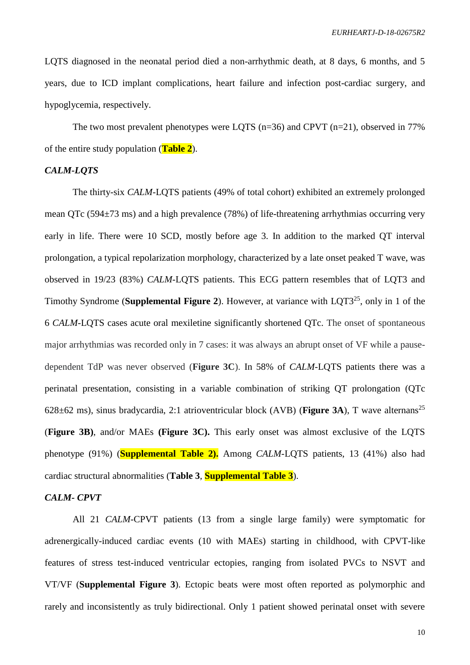LQTS diagnosed in the neonatal period died a non-arrhythmic death, at 8 days, 6 months, and 5 years, due to ICD implant complications, heart failure and infection post-cardiac surgery, and hypoglycemia, respectively.

The two most prevalent phenotypes were LOTS ( $n=36$ ) and CPVT ( $n=21$ ), observed in 77% of the entire study population (**Table 2**).

# *CALM-LQTS*

The thirty-six *CALM*-LQTS patients (49% of total cohort) exhibited an extremely prolonged mean QTc (594±73 ms) and a high prevalence (78%) of life-threatening arrhythmias occurring very early in life. There were 10 SCD, mostly before age 3. In addition to the marked QT interval prolongation, a typical repolarization morphology, characterized by a late onset peaked T wave, was observed in 19/23 (83%) *CALM-*LQTS patients. This ECG pattern resembles that of LQT3 and Timothy Syndrome (**Supplemental Figure 2**). However, at variance with LQT3<sup>25</sup>, only in 1 of the 6 *CALM-*LQTS cases acute oral mexiletine significantly shortened QTc. The onset of spontaneous major arrhythmias was recorded only in 7 cases: it was always an abrupt onset of VF while a pausedependent TdP was never observed (**Figure 3C**). In 58% of *CALM*-LQTS patients there was a perinatal presentation, consisting in a variable combination of striking QT prolongation (QTc 628±62 ms), sinus bradycardia, 2:1 atrioventricular block (AVB) (**Figure 3A**), T wave alternans<sup>25</sup> (**Figure 3B)**, and/or MAEs **(Figure 3C).** This early onset was almost exclusive of the LQTS phenotype (91%) (**Supplemental Table 2).** Among *CALM*-LQTS patients, 13 (41%) also had cardiac structural abnormalities (**Table 3**, **Supplemental Table 3**).

# *CALM- CPVT*

All 21 *CALM-*CPVT patients (13 from a single large family) were symptomatic for adrenergically-induced cardiac events (10 with MAEs) starting in childhood, with CPVT-like features of stress test-induced ventricular ectopies, ranging from isolated PVCs to NSVT and VT/VF (**Supplemental Figure 3**). Ectopic beats were most often reported as polymorphic and rarely and inconsistently as truly bidirectional. Only 1 patient showed perinatal onset with severe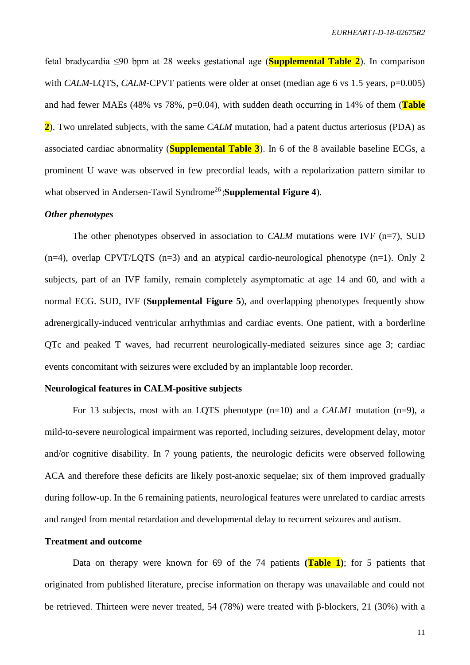fetal bradycardia ≤90 bpm at 28 weeks gestational age (**Supplemental Table 2**). In comparison with *CALM*-LOTS, *CALM*-CPVT patients were older at onset (median age 6 vs 1.5 years, p=0.005) and had fewer MAEs (48% vs 78%, p=0.04), with sudden death occurring in 14% of them (**Table 2**). Two unrelated subjects, with the same *CALM* mutation, had a patent ductus arteriosus (PDA) as associated cardiac abnormality (**Supplemental Table 3**). In 6 of the 8 available baseline ECGs, a prominent U wave was observed in few precordial leads, with a repolarization pattern similar to what observed in Andersen-Tawil Syndrome<sup>26</sup> (**Supplemental Figure 4**).

#### *Other phenotypes*

The other phenotypes observed in association to *CALM* mutations were IVF (n=7), SUD  $(n=4)$ , overlap CPVT/LQTS  $(n=3)$  and an atypical cardio-neurological phenotype  $(n=1)$ . Only 2 subjects, part of an IVF family, remain completely asymptomatic at age 14 and 60, and with a normal ECG. SUD, IVF (**Supplemental Figure 5**), and overlapping phenotypes frequently show adrenergically-induced ventricular arrhythmias and cardiac events. One patient, with a borderline QTc and peaked T waves, had recurrent neurologically-mediated seizures since age 3; cardiac events concomitant with seizures were excluded by an implantable loop recorder.

# **Neurological features in CALM***-***positive subjects**

For 13 subjects, most with an LQTS phenotype (n=10) and a *CALM1* mutation (n=9), a mild-to-severe neurological impairment was reported, including seizures, development delay, motor and/or cognitive disability. In 7 young patients, the neurologic deficits were observed following ACA and therefore these deficits are likely post-anoxic sequelae; six of them improved gradually during follow-up. In the 6 remaining patients, neurological features were unrelated to cardiac arrests and ranged from mental retardation and developmental delay to recurrent seizures and autism.

## **Treatment and outcome**

Data on therapy were known for 69 of the 74 patients **(Table 1)**; for 5 patients that originated from published literature, precise information on therapy was unavailable and could not be retrieved. Thirteen were never treated, 54 (78%) were treated with β-blockers, 21 (30%) with a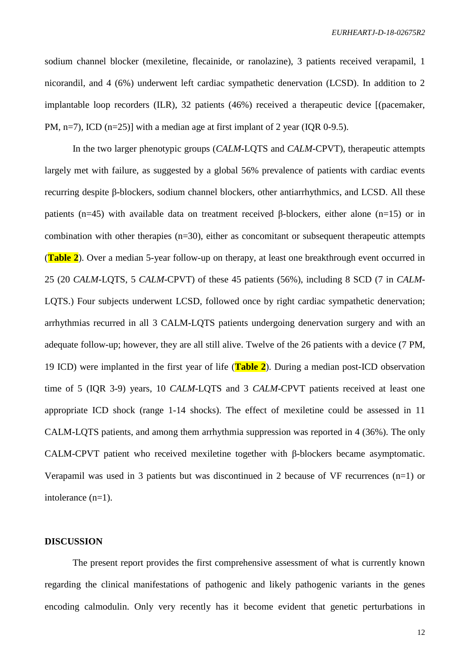sodium channel blocker (mexiletine, flecainide, or ranolazine), 3 patients received verapamil, 1 nicorandil, and 4 (6%) underwent left cardiac sympathetic denervation (LCSD). In addition to 2 implantable loop recorders (ILR), 32 patients (46%) received a therapeutic device [(pacemaker, PM, n=7), ICD (n=25)] with a median age at first implant of 2 year (IQR 0-9.5).

In the two larger phenotypic groups (*CALM*-LQTS and *CALM*-CPVT), therapeutic attempts largely met with failure, as suggested by a global 56% prevalence of patients with cardiac events recurring despite β-blockers, sodium channel blockers, other antiarrhythmics, and LCSD. All these patients (n=45) with available data on treatment received β-blockers, either alone (n=15) or in combination with other therapies (n=30), either as concomitant or subsequent therapeutic attempts (**Table 2**). Over a median 5-year follow-up on therapy, at least one breakthrough event occurred in 25 (20 *CALM*-LQTS, 5 *CALM*-CPVT) of these 45 patients (56%), including 8 SCD (7 in *CALM*-LQTS.) Four subjects underwent LCSD, followed once by right cardiac sympathetic denervation; arrhythmias recurred in all 3 CALM-LQTS patients undergoing denervation surgery and with an adequate follow-up; however, they are all still alive. Twelve of the 26 patients with a device (7 PM, 19 ICD) were implanted in the first year of life (**Table 2**). During a median post-ICD observation time of 5 (IQR 3-9) years, 10 *CALM-*LQTS and 3 *CALM*-CPVT patients received at least one appropriate ICD shock (range 1-14 shocks). The effect of mexiletine could be assessed in 11 CALM-LQTS patients, and among them arrhythmia suppression was reported in 4 (36%). The only CALM-CPVT patient who received mexiletine together with β-blockers became asymptomatic. Verapamil was used in 3 patients but was discontinued in 2 because of VF recurrences  $(n=1)$  or intolerance (n=1).

#### **DISCUSSION**

The present report provides the first comprehensive assessment of what is currently known regarding the clinical manifestations of pathogenic and likely pathogenic variants in the genes encoding calmodulin. Only very recently has it become evident that genetic perturbations in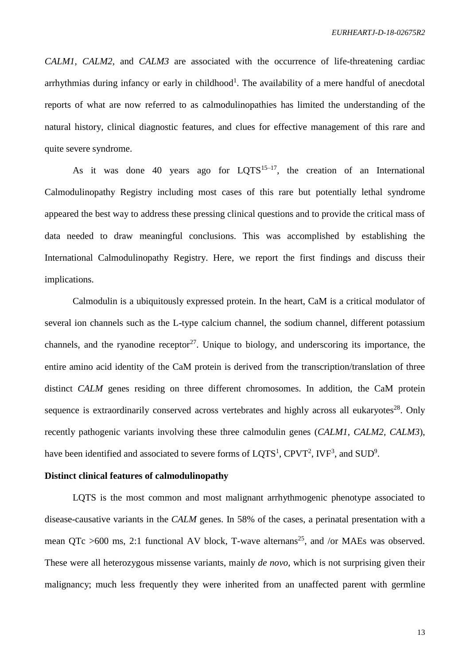*CALM1, CALM2,* and *CALM3* are associated with the occurrence of life-threatening cardiac arrhythmias during infancy or early in childhood<sup>1</sup>. The availability of a mere handful of anecdotal reports of what are now referred to as calmodulinopathies has limited the understanding of the natural history, clinical diagnostic features, and clues for effective management of this rare and quite severe syndrome.

As it was done 40 years ago for  $LQTS^{15-17}$ , the creation of an International Calmodulinopathy Registry including most cases of this rare but potentially lethal syndrome appeared the best way to address these pressing clinical questions and to provide the critical mass of data needed to draw meaningful conclusions. This was accomplished by establishing the International Calmodulinopathy Registry. Here, we report the first findings and discuss their implications.

Calmodulin is a ubiquitously expressed protein. In the heart, CaM is a critical modulator of several ion channels such as the L-type calcium channel, the sodium channel, different potassium channels, and the ryanodine receptor<sup>27</sup>. Unique to biology, and underscoring its importance, the entire amino acid identity of the CaM protein is derived from the transcription/translation of three distinct *CALM* genes residing on three different chromosomes. In addition, the CaM protein sequence is extraordinarily conserved across vertebrates and highly across all eukaryotes<sup>28</sup>. Only recently pathogenic variants involving these three calmodulin genes (*CALM1, CALM2, CALM3*), have been identified and associated to severe forms of  $LQTS<sup>1</sup>$ ,  $CPVT<sup>2</sup>$ ,  $IVF<sup>3</sup>$ , and  $SUD<sup>9</sup>$ .

## **Distinct clinical features of calmodulinopathy**

LQTS is the most common and most malignant arrhythmogenic phenotype associated to disease-causative variants in the *CALM* genes. In 58% of the cases, a perinatal presentation with a mean QTc  $>600$  ms, 2:1 functional AV block, T-wave alternans<sup>25</sup>, and /or MAEs was observed. These were all heterozygous missense variants, mainly *de novo,* which is not surprising given their malignancy; much less frequently they were inherited from an unaffected parent with germline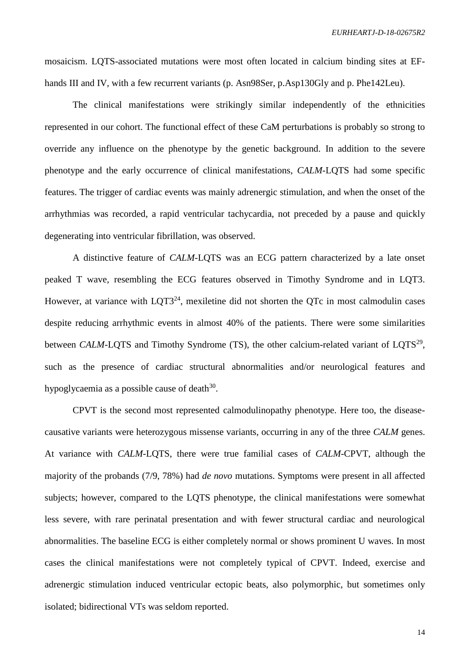mosaicism. LQTS-associated mutations were most often located in calcium binding sites at EFhands III and IV, with a few recurrent variants (p. Asn98Ser, p.Asp130Gly and p. Phe142Leu).

The clinical manifestations were strikingly similar independently of the ethnicities represented in our cohort. The functional effect of these CaM perturbations is probably so strong to override any influence on the phenotype by the genetic background. In addition to the severe phenotype and the early occurrence of clinical manifestations, *CALM*-LQTS had some specific features. The trigger of cardiac events was mainly adrenergic stimulation, and when the onset of the arrhythmias was recorded, a rapid ventricular tachycardia, not preceded by a pause and quickly degenerating into ventricular fibrillation, was observed.

A distinctive feature of *CALM*-LQTS was an ECG pattern characterized by a late onset peaked T wave, resembling the ECG features observed in Timothy Syndrome and in LQT3. However, at variance with  $LOT3^{24}$ , mexiletine did not shorten the OTc in most calmodulin cases despite reducing arrhythmic events in almost 40% of the patients. There were some similarities between *CALM*-LQTS and Timothy Syndrome (TS), the other calcium-related variant of LQTS<sup>29</sup>, such as the presence of cardiac structural abnormalities and/or neurological features and hypoglycaemia as a possible cause of death $30$ .

CPVT is the second most represented calmodulinopathy phenotype. Here too, the diseasecausative variants were heterozygous missense variants, occurring in any of the three *CALM* genes. At variance with *CALM*-LQTS, there were true familial cases of *CALM*-CPVT, although the majority of the probands (7/9, 78%) had *de novo* mutations. Symptoms were present in all affected subjects; however, compared to the LQTS phenotype, the clinical manifestations were somewhat less severe, with rare perinatal presentation and with fewer structural cardiac and neurological abnormalities. The baseline ECG is either completely normal or shows prominent U waves. In most cases the clinical manifestations were not completely typical of CPVT. Indeed, exercise and adrenergic stimulation induced ventricular ectopic beats, also polymorphic, but sometimes only isolated; bidirectional VTs was seldom reported.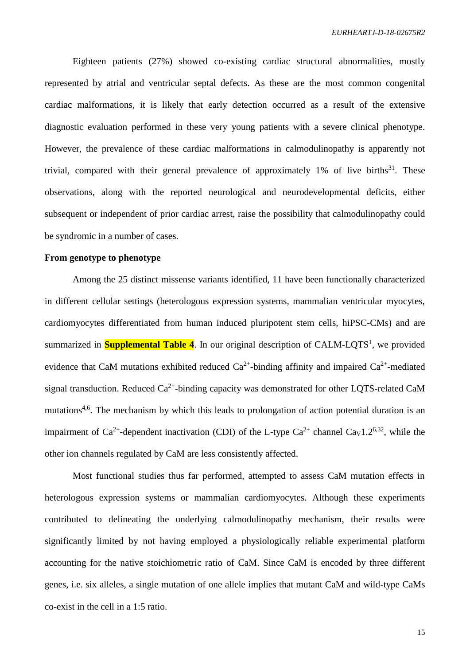Eighteen patients (27%) showed co-existing cardiac structural abnormalities, mostly represented by atrial and ventricular septal defects. As these are the most common congenital cardiac malformations, it is likely that early detection occurred as a result of the extensive diagnostic evaluation performed in these very young patients with a severe clinical phenotype. However, the prevalence of these cardiac malformations in calmodulinopathy is apparently not trivial, compared with their general prevalence of approximately  $1\%$  of live births<sup>31</sup>. These observations, along with the reported neurological and neurodevelopmental deficits, either subsequent or independent of prior cardiac arrest, raise the possibility that calmodulinopathy could be syndromic in a number of cases.

# **From genotype to phenotype**

Among the 25 distinct missense variants identified, 11 have been functionally characterized in different cellular settings (heterologous expression systems, mammalian ventricular myocytes, cardiomyocytes differentiated from human induced pluripotent stem cells, hiPSC-CMs) and are summarized in **Supplemental Table 4**. In our original description of CALM-LQTS<sup>1</sup>, we provided evidence that CaM mutations exhibited reduced  $Ca^{2+}$ -binding affinity and impaired  $Ca^{2+}$ -mediated signal transduction. Reduced  $Ca^{2+}$ -binding capacity was demonstrated for other LQTS-related CaM mutations<sup>4,6</sup>. The mechanism by which this leads to prolongation of action potential duration is an impairment of Ca<sup>2+</sup>-dependent inactivation (CDI) of the L-type Ca<sup>2+</sup> channel Cav1.2<sup>6,32</sup>, while the other ion channels regulated by CaM are less consistently affected.

Most functional studies thus far performed, attempted to assess CaM mutation effects in heterologous expression systems or mammalian cardiomyocytes. Although these experiments contributed to delineating the underlying calmodulinopathy mechanism, their results were significantly limited by not having employed a physiologically reliable experimental platform accounting for the native stoichiometric ratio of CaM. Since CaM is encoded by three different genes, i.e. six alleles, a single mutation of one allele implies that mutant CaM and wild-type CaMs co-exist in the cell in a 1:5 ratio.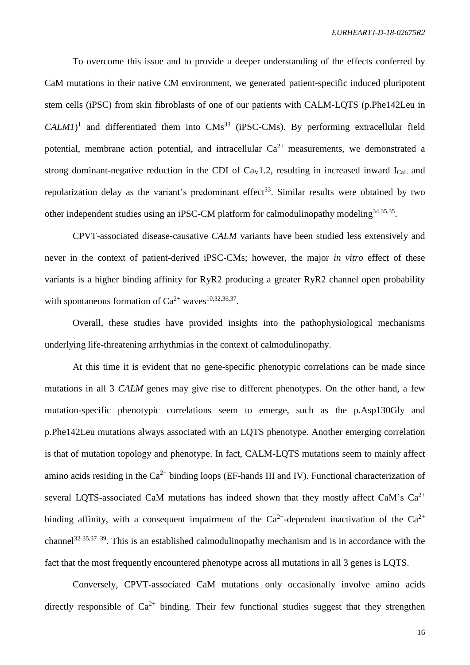To overcome this issue and to provide a deeper understanding of the effects conferred by CaM mutations in their native CM environment, we generated patient-specific induced pluripotent stem cells (iPSC) from skin fibroblasts of one of our patients with CALM-LQTS (p.Phe142Leu in  $CALMI$ <sup>1</sup> and differentiated them into  $CMS^3$  (iPSC-CMs). By performing extracellular field potential, membrane action potential, and intracellular  $Ca^{2+}$  measurements, we demonstrated a strong dominant-negative reduction in the CDI of Cay1.2, resulting in increased inward  $I_{CaL}$  and repolarization delay as the variant's predominant effect<sup>33</sup>. Similar results were obtained by two other independent studies using an iPSC-CM platform for calmodulinopathy modeling<sup>34,35,35</sup>.

CPVT-associated disease-causative *CALM* variants have been studied less extensively and never in the context of patient-derived iPSC-CMs; however, the major *in vitro* effect of these variants is a higher binding affinity for RyR2 producing a greater RyR2 channel open probability with spontaneous formation of  $Ca^{2+}$  waves<sup>10,32,36,37</sup>.

Overall, these studies have provided insights into the pathophysiological mechanisms underlying life-threatening arrhythmias in the context of calmodulinopathy.

At this time it is evident that no gene-specific phenotypic correlations can be made since mutations in all 3 *CALM* genes may give rise to different phenotypes. On the other hand, a few mutation-specific phenotypic correlations seem to emerge, such as the p.Asp130Gly and p.Phe142Leu mutations always associated with an LQTS phenotype. Another emerging correlation is that of mutation topology and phenotype. In fact, CALM-LQTS mutations seem to mainly affect amino acids residing in the  $Ca^{2+}$  binding loops (EF-hands III and IV). Functional characterization of several LQTS-associated CaM mutations has indeed shown that they mostly affect CaM's  $Ca^{2+}$ binding affinity, with a consequent impairment of the  $Ca^{2+}$ -dependent inactivation of the  $Ca^{2+}$ channel<sup>32-35,37–39</sup>. This is an established calmodulinopathy mechanism and is in accordance with the fact that the most frequently encountered phenotype across all mutations in all 3 genes is LQTS.

Conversely, CPVT-associated CaM mutations only occasionally involve amino acids directly responsible of  $Ca^{2+}$  binding. Their few functional studies suggest that they strengthen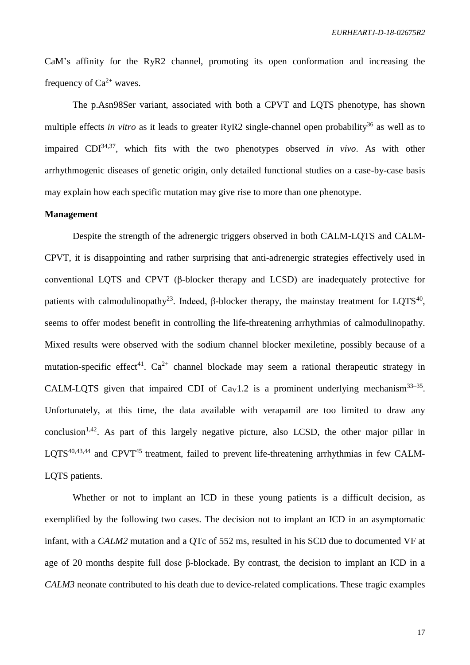CaM's affinity for the RyR2 channel, promoting its open conformation and increasing the frequency of  $Ca^{2+}$  waves.

The p.Asn98Ser variant, associated with both a CPVT and LQTS phenotype, has shown multiple effects *in vitro* as it leads to greater RyR2 single-channel open probability<sup>36</sup> as well as to impaired  $CDI^{34,37}$ , which fits with the two phenotypes observed *in vivo*. As with other arrhythmogenic diseases of genetic origin, only detailed functional studies on a case-by-case basis may explain how each specific mutation may give rise to more than one phenotype.

## **Management**

Despite the strength of the adrenergic triggers observed in both CALM-LQTS and CALM-CPVT, it is disappointing and rather surprising that anti-adrenergic strategies effectively used in conventional LQTS and CPVT (β-blocker therapy and LCSD) are inadequately protective for patients with calmodulinopathy<sup>23</sup>. Indeed, β-blocker therapy, the mainstay treatment for LQTS<sup>40</sup>, seems to offer modest benefit in controlling the life-threatening arrhythmias of calmodulinopathy. Mixed results were observed with the sodium channel blocker mexiletine, possibly because of a mutation-specific effect<sup>41</sup>.  $Ca^{2+}$  channel blockade may seem a rational therapeutic strategy in CALM-LQTS given that impaired CDI of Cav1.2 is a prominent underlying mechanism<sup>33-35</sup>. Unfortunately, at this time, the data available with verapamil are too limited to draw any conclusion<sup>1,42</sup>. As part of this largely negative picture, also LCSD, the other major pillar in  $LOTS<sup>40,43,44</sup>$  and  $CPVT<sup>45</sup>$  treatment, failed to prevent life-threatening arrhythmias in few CALM-LQTS patients.

Whether or not to implant an ICD in these young patients is a difficult decision, as exemplified by the following two cases. The decision not to implant an ICD in an asymptomatic infant, with a *CALM2* mutation and a QTc of 552 ms, resulted in his SCD due to documented VF at age of 20 months despite full dose β-blockade. By contrast, the decision to implant an ICD in a *CALM3* neonate contributed to his death due to device-related complications. These tragic examples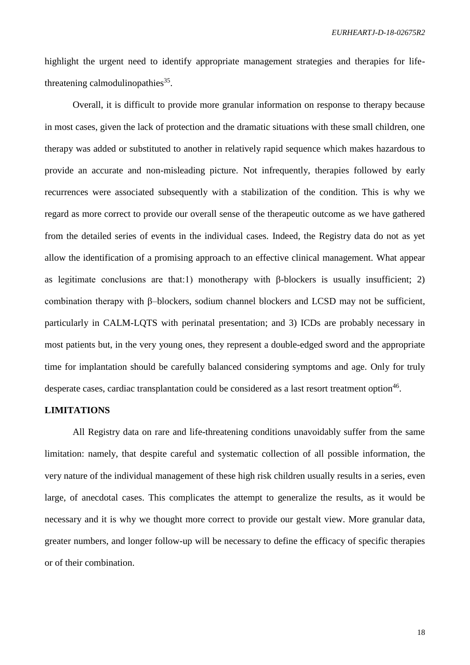highlight the urgent need to identify appropriate management strategies and therapies for lifethreatening calmodulinopathies $35$ .

Overall, it is difficult to provide more granular information on response to therapy because in most cases, given the lack of protection and the dramatic situations with these small children, one therapy was added or substituted to another in relatively rapid sequence which makes hazardous to provide an accurate and non-misleading picture. Not infrequently, therapies followed by early recurrences were associated subsequently with a stabilization of the condition. This is why we regard as more correct to provide our overall sense of the therapeutic outcome as we have gathered from the detailed series of events in the individual cases. Indeed, the Registry data do not as yet allow the identification of a promising approach to an effective clinical management. What appear as legitimate conclusions are that:1) monotherapy with β-blockers is usually insufficient; 2) combination therapy with β–blockers, sodium channel blockers and LCSD may not be sufficient, particularly in CALM-LQTS with perinatal presentation; and 3) ICDs are probably necessary in most patients but, in the very young ones, they represent a double-edged sword and the appropriate time for implantation should be carefully balanced considering symptoms and age. Only for truly desperate cases, cardiac transplantation could be considered as a last resort treatment option<sup>46</sup>.

# **LIMITATIONS**

All Registry data on rare and life-threatening conditions unavoidably suffer from the same limitation: namely, that despite careful and systematic collection of all possible information, the very nature of the individual management of these high risk children usually results in a series, even large, of anecdotal cases. This complicates the attempt to generalize the results, as it would be necessary and it is why we thought more correct to provide our gestalt view. More granular data, greater numbers, and longer follow-up will be necessary to define the efficacy of specific therapies or of their combination.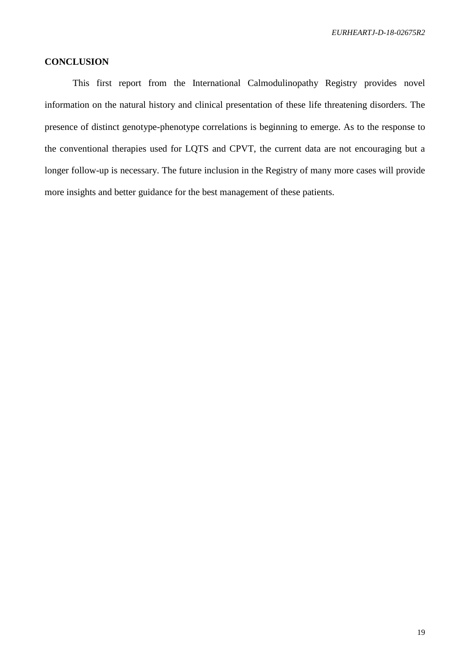# **CONCLUSION**

This first report from the International Calmodulinopathy Registry provides novel information on the natural history and clinical presentation of these life threatening disorders. The presence of distinct genotype-phenotype correlations is beginning to emerge. As to the response to the conventional therapies used for LQTS and CPVT, the current data are not encouraging but a longer follow-up is necessary. The future inclusion in the Registry of many more cases will provide more insights and better guidance for the best management of these patients.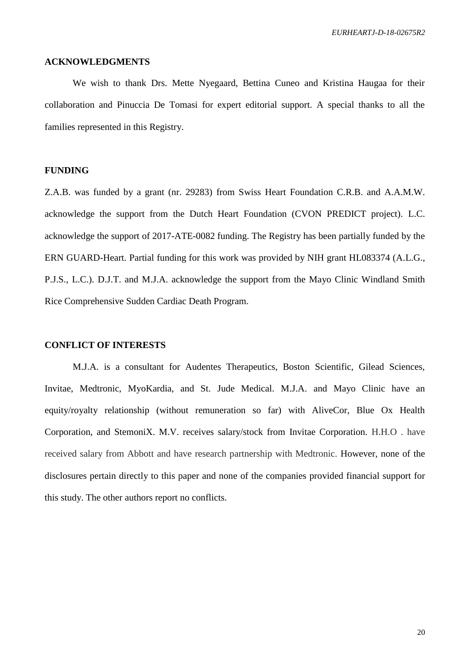## **ACKNOWLEDGMENTS**

We wish to thank Drs. Mette Nyegaard, Bettina Cuneo and Kristina Haugaa for their collaboration and Pinuccia De Tomasi for expert editorial support. A special thanks to all the families represented in this Registry.

## **FUNDING**

Z.A.B. was funded by a grant (nr. 29283) from Swiss Heart Foundation C.R.B. and A.A.M.W. acknowledge the support from the Dutch Heart Foundation (CVON PREDICT project). L.C. acknowledge the support of 2017-ATE-0082 funding. The Registry has been partially funded by the ERN GUARD-Heart. Partial funding for this work was provided by NIH grant HL083374 (A.L.G., P.J.S., L.C.). D.J.T. and M.J.A. acknowledge the support from the Mayo Clinic Windland Smith Rice Comprehensive Sudden Cardiac Death Program.

#### **CONFLICT OF INTERESTS**

M.J.A. is a consultant for Audentes Therapeutics, Boston Scientific, Gilead Sciences, Invitae, Medtronic, MyoKardia, and St. Jude Medical. M.J.A. and Mayo Clinic have an equity/royalty relationship (without remuneration so far) with AliveCor, Blue Ox Health Corporation, and StemoniX. M.V. receives salary/stock from Invitae Corporation. H.H.O . have received salary from Abbott and have research partnership with Medtronic. However, none of the disclosures pertain directly to this paper and none of the companies provided financial support for this study. The other authors report no conflicts.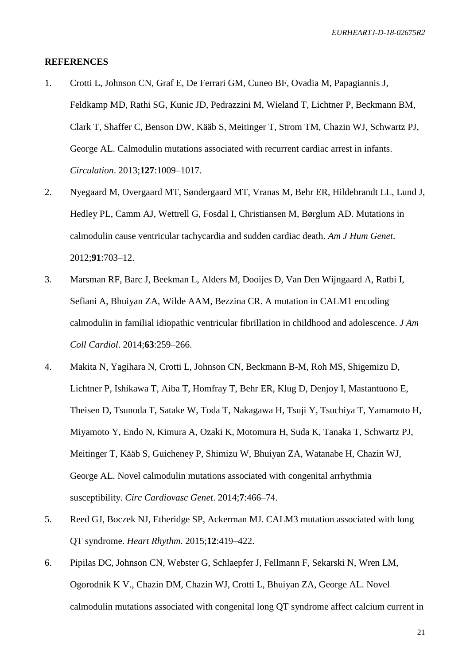## **REFERENCES**

- 1. Crotti L, Johnson CN, Graf E, De Ferrari GM, Cuneo BF, Ovadia M, Papagiannis J, Feldkamp MD, Rathi SG, Kunic JD, Pedrazzini M, Wieland T, Lichtner P, Beckmann BM, Clark T, Shaffer C, Benson DW, Kääb S, Meitinger T, Strom TM, Chazin WJ, Schwartz PJ, George AL. Calmodulin mutations associated with recurrent cardiac arrest in infants. *Circulation*. 2013;**127**:1009–1017.
- 2. Nyegaard M, Overgaard MT, Søndergaard MT, Vranas M, Behr ER, Hildebrandt LL, Lund J, Hedley PL, Camm AJ, Wettrell G, Fosdal I, Christiansen M, Børglum AD. Mutations in calmodulin cause ventricular tachycardia and sudden cardiac death. *Am J Hum Genet*. 2012;**91**:703–12.
- 3. Marsman RF, Barc J, Beekman L, Alders M, Dooijes D, Van Den Wijngaard A, Ratbi I, Sefiani A, Bhuiyan ZA, Wilde AAM, Bezzina CR. A mutation in CALM1 encoding calmodulin in familial idiopathic ventricular fibrillation in childhood and adolescence. *J Am Coll Cardiol*. 2014;**63**:259–266.
- 4. Makita N, Yagihara N, Crotti L, Johnson CN, Beckmann B-M, Roh MS, Shigemizu D, Lichtner P, Ishikawa T, Aiba T, Homfray T, Behr ER, Klug D, Denjoy I, Mastantuono E, Theisen D, Tsunoda T, Satake W, Toda T, Nakagawa H, Tsuji Y, Tsuchiya T, Yamamoto H, Miyamoto Y, Endo N, Kimura A, Ozaki K, Motomura H, Suda K, Tanaka T, Schwartz PJ, Meitinger T, Kääb S, Guicheney P, Shimizu W, Bhuiyan ZA, Watanabe H, Chazin WJ, George AL. Novel calmodulin mutations associated with congenital arrhythmia susceptibility. *Circ Cardiovasc Genet*. 2014;**7**:466–74.
- 5. Reed GJ, Boczek NJ, Etheridge SP, Ackerman MJ. CALM3 mutation associated with long QT syndrome. *Heart Rhythm*. 2015;**12**:419–422.
- 6. Pipilas DC, Johnson CN, Webster G, Schlaepfer J, Fellmann F, Sekarski N, Wren LM, Ogorodnik K V., Chazin DM, Chazin WJ, Crotti L, Bhuiyan ZA, George AL. Novel calmodulin mutations associated with congenital long QT syndrome affect calcium current in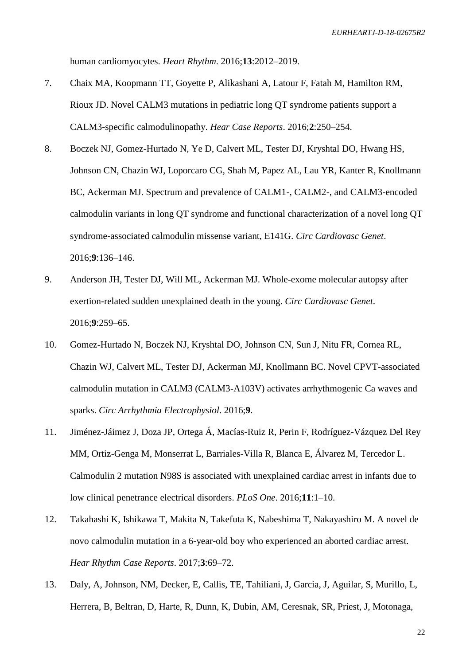human cardiomyocytes. *Heart Rhythm*. 2016;**13**:2012–2019.

- 7. Chaix MA, Koopmann TT, Goyette P, Alikashani A, Latour F, Fatah M, Hamilton RM, Rioux JD. Novel CALM3 mutations in pediatric long QT syndrome patients support a CALM3-specific calmodulinopathy. *Hear Case Reports*. 2016;**2**:250–254.
- 8. Boczek NJ, Gomez-Hurtado N, Ye D, Calvert ML, Tester DJ, Kryshtal DO, Hwang HS, Johnson CN, Chazin WJ, Loporcaro CG, Shah M, Papez AL, Lau YR, Kanter R, Knollmann BC, Ackerman MJ. Spectrum and prevalence of CALM1-, CALM2-, and CALM3-encoded calmodulin variants in long QT syndrome and functional characterization of a novel long QT syndrome-associated calmodulin missense variant, E141G. *Circ Cardiovasc Genet*. 2016;**9**:136–146.
- 9. Anderson JH, Tester DJ, Will ML, Ackerman MJ. Whole-exome molecular autopsy after exertion-related sudden unexplained death in the young. *Circ Cardiovasc Genet*. 2016;**9**:259–65.
- 10. Gomez-Hurtado N, Boczek NJ, Kryshtal DO, Johnson CN, Sun J, Nitu FR, Cornea RL, Chazin WJ, Calvert ML, Tester DJ, Ackerman MJ, Knollmann BC. Novel CPVT-associated calmodulin mutation in CALM3 (CALM3-A103V) activates arrhythmogenic Ca waves and sparks. *Circ Arrhythmia Electrophysiol*. 2016;**9**.
- 11. Jiménez-Jáimez J, Doza JP, Ortega Á, Macías-Ruiz R, Perin F, Rodríguez-Vázquez Del Rey MM, Ortiz-Genga M, Monserrat L, Barriales-Villa R, Blanca E, Álvarez M, Tercedor L. Calmodulin 2 mutation N98S is associated with unexplained cardiac arrest in infants due to low clinical penetrance electrical disorders. *PLoS One*. 2016;**11**:1–10.
- 12. Takahashi K, Ishikawa T, Makita N, Takefuta K, Nabeshima T, Nakayashiro M. A novel de novo calmodulin mutation in a 6-year-old boy who experienced an aborted cardiac arrest. *Hear Rhythm Case Reports*. 2017;**3**:69–72.
- 13. Daly, A, Johnson, NM, Decker, E, Callis, TE, Tahiliani, J, Garcia, J, Aguilar, S, Murillo, L, Herrera, B, Beltran, D, Harte, R, Dunn, K, Dubin, AM, Ceresnak, SR, Priest, J, Motonaga,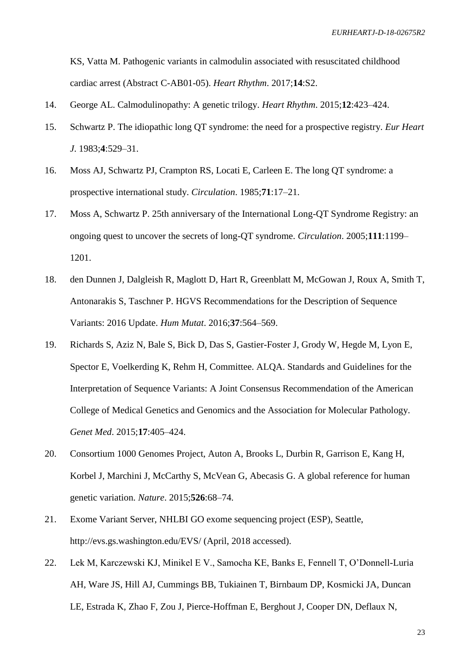KS, Vatta M. Pathogenic variants in calmodulin associated with resuscitated childhood cardiac arrest (Abstract C-AB01-05). *Heart Rhythm*. 2017;**14**:S2.

- 14. George AL. Calmodulinopathy: A genetic trilogy. *Heart Rhythm*. 2015;**12**:423–424.
- 15. Schwartz P. The idiopathic long QT syndrome: the need for a prospective registry. *Eur Heart J*. 1983;**4**:529–31.
- 16. Moss AJ, Schwartz PJ, Crampton RS, Locati E, Carleen E. The long QT syndrome: a prospective international study. *Circulation*. 1985;**71**:17–21.
- 17. Moss A, Schwartz P. 25th anniversary of the International Long-QT Syndrome Registry: an ongoing quest to uncover the secrets of long-QT syndrome. *Circulation*. 2005;**111**:1199– 1201.
- 18. den Dunnen J, Dalgleish R, Maglott D, Hart R, Greenblatt M, McGowan J, Roux A, Smith T, Antonarakis S, Taschner P. HGVS Recommendations for the Description of Sequence Variants: 2016 Update. *Hum Mutat*. 2016;**37**:564–569.
- 19. Richards S, Aziz N, Bale S, Bick D, Das S, Gastier-Foster J, Grody W, Hegde M, Lyon E, Spector E, Voelkerding K, Rehm H, Committee. ALQA. Standards and Guidelines for the Interpretation of Sequence Variants: A Joint Consensus Recommendation of the American College of Medical Genetics and Genomics and the Association for Molecular Pathology. *Genet Med*. 2015;**17**:405–424.
- 20. Consortium 1000 Genomes Project, Auton A, Brooks L, Durbin R, Garrison E, Kang H, Korbel J, Marchini J, McCarthy S, McVean G, Abecasis G. A global reference for human genetic variation. *Nature*. 2015;**526**:68–74.
- 21. Exome Variant Server, NHLBI GO exome sequencing project (ESP), Seattle, http://evs.gs.washington.edu/EVS/ (April, 2018 accessed).
- 22. Lek M, Karczewski KJ, Minikel E V., Samocha KE, Banks E, Fennell T, O'Donnell-Luria AH, Ware JS, Hill AJ, Cummings BB, Tukiainen T, Birnbaum DP, Kosmicki JA, Duncan LE, Estrada K, Zhao F, Zou J, Pierce-Hoffman E, Berghout J, Cooper DN, Deflaux N,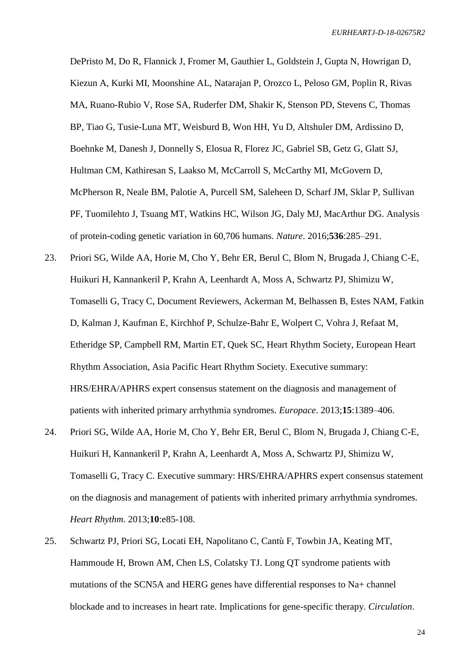DePristo M, Do R, Flannick J, Fromer M, Gauthier L, Goldstein J, Gupta N, Howrigan D, Kiezun A, Kurki MI, Moonshine AL, Natarajan P, Orozco L, Peloso GM, Poplin R, Rivas MA, Ruano-Rubio V, Rose SA, Ruderfer DM, Shakir K, Stenson PD, Stevens C, Thomas BP, Tiao G, Tusie-Luna MT, Weisburd B, Won HH, Yu D, Altshuler DM, Ardissino D, Boehnke M, Danesh J, Donnelly S, Elosua R, Florez JC, Gabriel SB, Getz G, Glatt SJ, Hultman CM, Kathiresan S, Laakso M, McCarroll S, McCarthy MI, McGovern D, McPherson R, Neale BM, Palotie A, Purcell SM, Saleheen D, Scharf JM, Sklar P, Sullivan PF, Tuomilehto J, Tsuang MT, Watkins HC, Wilson JG, Daly MJ, MacArthur DG. Analysis of protein-coding genetic variation in 60,706 humans. *Nature*. 2016;**536**:285–291.

- 23. Priori SG, Wilde AA, Horie M, Cho Y, Behr ER, Berul C, Blom N, Brugada J, Chiang C-E, Huikuri H, Kannankeril P, Krahn A, Leenhardt A, Moss A, Schwartz PJ, Shimizu W, Tomaselli G, Tracy C, Document Reviewers, Ackerman M, Belhassen B, Estes NAM, Fatkin D, Kalman J, Kaufman E, Kirchhof P, Schulze-Bahr E, Wolpert C, Vohra J, Refaat M, Etheridge SP, Campbell RM, Martin ET, Quek SC, Heart Rhythm Society, European Heart Rhythm Association, Asia Pacific Heart Rhythm Society. Executive summary: HRS/EHRA/APHRS expert consensus statement on the diagnosis and management of patients with inherited primary arrhythmia syndromes. *Europace*. 2013;**15**:1389–406.
- 24. Priori SG, Wilde AA, Horie M, Cho Y, Behr ER, Berul C, Blom N, Brugada J, Chiang C-E, Huikuri H, Kannankeril P, Krahn A, Leenhardt A, Moss A, Schwartz PJ, Shimizu W, Tomaselli G, Tracy C. Executive summary: HRS/EHRA/APHRS expert consensus statement on the diagnosis and management of patients with inherited primary arrhythmia syndromes. *Heart Rhythm*. 2013;**10**:e85-108.
- 25. Schwartz PJ, Priori SG, Locati EH, Napolitano C, Cantù F, Towbin JA, Keating MT, Hammoude H, Brown AM, Chen LS, Colatsky TJ. Long QT syndrome patients with mutations of the SCN5A and HERG genes have differential responses to Na+ channel blockade and to increases in heart rate. Implications for gene-specific therapy. *Circulation*.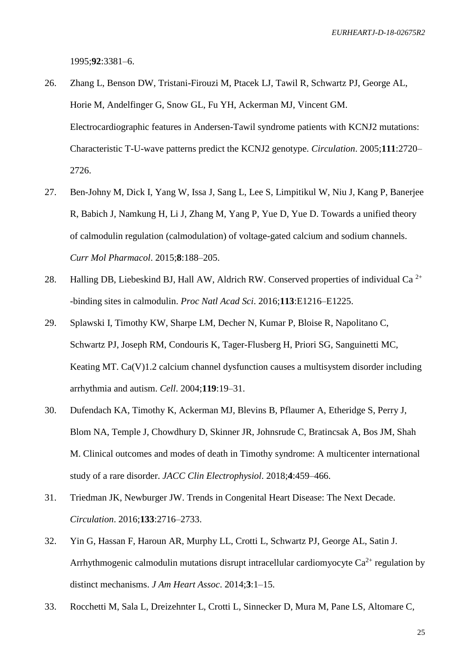1995;**92**:3381–6.

- 26. Zhang L, Benson DW, Tristani-Firouzi M, Ptacek LJ, Tawil R, Schwartz PJ, George AL, Horie M, Andelfinger G, Snow GL, Fu YH, Ackerman MJ, Vincent GM. Electrocardiographic features in Andersen-Tawil syndrome patients with KCNJ2 mutations: Characteristic T-U-wave patterns predict the KCNJ2 genotype. *Circulation*. 2005;**111**:2720– 2726.
- 27. Ben-Johny M, Dick I, Yang W, Issa J, Sang L, Lee S, Limpitikul W, Niu J, Kang P, Banerjee R, Babich J, Namkung H, Li J, Zhang M, Yang P, Yue D, Yue D. Towards a unified theory of calmodulin regulation (calmodulation) of voltage-gated calcium and sodium channels. *Curr Mol Pharmacol*. 2015;**8**:188–205.
- 28. Halling DB, Liebeskind BJ, Hall AW, Aldrich RW. Conserved properties of individual Ca<sup>2+</sup> -binding sites in calmodulin. *Proc Natl Acad Sci*. 2016;**113**:E1216–E1225.
- 29. Splawski I, Timothy KW, Sharpe LM, Decher N, Kumar P, Bloise R, Napolitano C, Schwartz PJ, Joseph RM, Condouris K, Tager-Flusberg H, Priori SG, Sanguinetti MC, Keating MT. Ca(V)1.2 calcium channel dysfunction causes a multisystem disorder including arrhythmia and autism. *Cell*. 2004;**119**:19–31.
- 30. Dufendach KA, Timothy K, Ackerman MJ, Blevins B, Pflaumer A, Etheridge S, Perry J, Blom NA, Temple J, Chowdhury D, Skinner JR, Johnsrude C, Bratincsak A, Bos JM, Shah M. Clinical outcomes and modes of death in Timothy syndrome: A multicenter international study of a rare disorder. *JACC Clin Electrophysiol*. 2018;**4**:459–466.
- 31. Triedman JK, Newburger JW. Trends in Congenital Heart Disease: The Next Decade. *Circulation*. 2016;**133**:2716–2733.
- 32. Yin G, Hassan F, Haroun AR, Murphy LL, Crotti L, Schwartz PJ, George AL, Satin J. Arrhythmogenic calmodulin mutations disrupt intracellular cardiomyocyte  $Ca^{2+}$  regulation by distinct mechanisms. *J Am Heart Assoc*. 2014;**3**:1–15.
- 33. Rocchetti M, Sala L, Dreizehnter L, Crotti L, Sinnecker D, Mura M, Pane LS, Altomare C,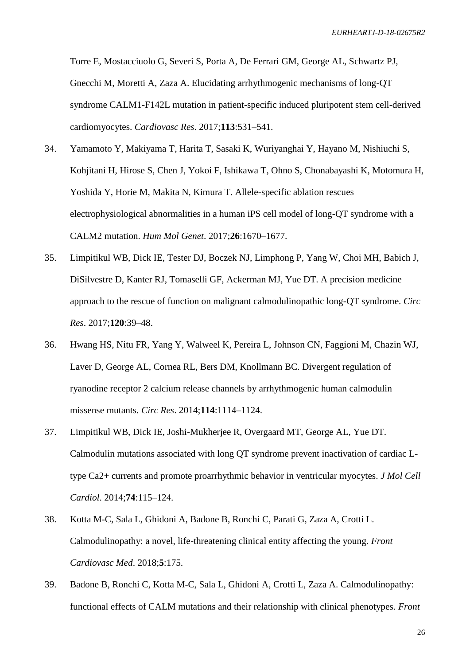Torre E, Mostacciuolo G, Severi S, Porta A, De Ferrari GM, George AL, Schwartz PJ, Gnecchi M, Moretti A, Zaza A. Elucidating arrhythmogenic mechanisms of long-QT syndrome CALM1-F142L mutation in patient-specific induced pluripotent stem cell-derived cardiomyocytes. *Cardiovasc Res*. 2017;**113**:531–541.

- 34. Yamamoto Y, Makiyama T, Harita T, Sasaki K, Wuriyanghai Y, Hayano M, Nishiuchi S, Kohjitani H, Hirose S, Chen J, Yokoi F, Ishikawa T, Ohno S, Chonabayashi K, Motomura H, Yoshida Y, Horie M, Makita N, Kimura T. Allele-specific ablation rescues electrophysiological abnormalities in a human iPS cell model of long-QT syndrome with a CALM2 mutation. *Hum Mol Genet*. 2017;**26**:1670–1677.
- 35. Limpitikul WB, Dick IE, Tester DJ, Boczek NJ, Limphong P, Yang W, Choi MH, Babich J, DiSilvestre D, Kanter RJ, Tomaselli GF, Ackerman MJ, Yue DT. A precision medicine approach to the rescue of function on malignant calmodulinopathic long-QT syndrome. *Circ Res*. 2017;**120**:39–48.
- 36. Hwang HS, Nitu FR, Yang Y, Walweel K, Pereira L, Johnson CN, Faggioni M, Chazin WJ, Laver D, George AL, Cornea RL, Bers DM, Knollmann BC. Divergent regulation of ryanodine receptor 2 calcium release channels by arrhythmogenic human calmodulin missense mutants. *Circ Res*. 2014;**114**:1114–1124.
- 37. Limpitikul WB, Dick IE, Joshi-Mukherjee R, Overgaard MT, George AL, Yue DT. Calmodulin mutations associated with long QT syndrome prevent inactivation of cardiac Ltype Ca2+ currents and promote proarrhythmic behavior in ventricular myocytes. *J Mol Cell Cardiol*. 2014;**74**:115–124.
- 38. Kotta M-C, Sala L, Ghidoni A, Badone B, Ronchi C, Parati G, Zaza A, Crotti L. Calmodulinopathy: a novel, life-threatening clinical entity affecting the young. *Front Cardiovasc Med*. 2018;**5**:175.
- 39. Badone B, Ronchi C, Kotta M-C, Sala L, Ghidoni A, Crotti L, Zaza A. Calmodulinopathy: functional effects of CALM mutations and their relationship with clinical phenotypes. *Front*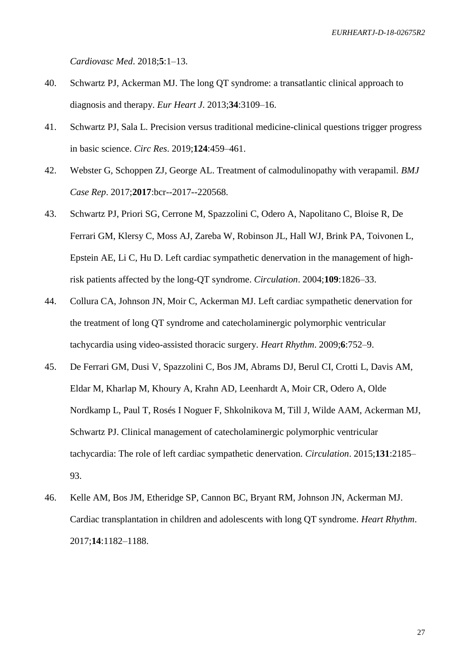*Cardiovasc Med*. 2018;**5**:1–13.

- 40. Schwartz PJ, Ackerman MJ. The long QT syndrome: a transatlantic clinical approach to diagnosis and therapy. *Eur Heart J*. 2013;**34**:3109–16.
- 41. Schwartz PJ, Sala L. Precision versus traditional medicine-clinical questions trigger progress in basic science. *Circ Res*. 2019;**124**:459–461.
- 42. Webster G, Schoppen ZJ, George AL. Treatment of calmodulinopathy with verapamil. *BMJ Case Rep*. 2017;**2017**:bcr--2017--220568.
- 43. Schwartz PJ, Priori SG, Cerrone M, Spazzolini C, Odero A, Napolitano C, Bloise R, De Ferrari GM, Klersy C, Moss AJ, Zareba W, Robinson JL, Hall WJ, Brink PA, Toivonen L, Epstein AE, Li C, Hu D. Left cardiac sympathetic denervation in the management of highrisk patients affected by the long-QT syndrome. *Circulation*. 2004;**109**:1826–33.
- 44. Collura CA, Johnson JN, Moir C, Ackerman MJ. Left cardiac sympathetic denervation for the treatment of long QT syndrome and catecholaminergic polymorphic ventricular tachycardia using video-assisted thoracic surgery. *Heart Rhythm*. 2009;**6**:752–9.
- 45. De Ferrari GM, Dusi V, Spazzolini C, Bos JM, Abrams DJ, Berul CI, Crotti L, Davis AM, Eldar M, Kharlap M, Khoury A, Krahn AD, Leenhardt A, Moir CR, Odero A, Olde Nordkamp L, Paul T, Rosés I Noguer F, Shkolnikova M, Till J, Wilde AAM, Ackerman MJ, Schwartz PJ. Clinical management of catecholaminergic polymorphic ventricular tachycardia: The role of left cardiac sympathetic denervation. *Circulation*. 2015;**131**:2185– 93.
- 46. Kelle AM, Bos JM, Etheridge SP, Cannon BC, Bryant RM, Johnson JN, Ackerman MJ. Cardiac transplantation in children and adolescents with long QT syndrome. *Heart Rhythm*. 2017;**14**:1182–1188.